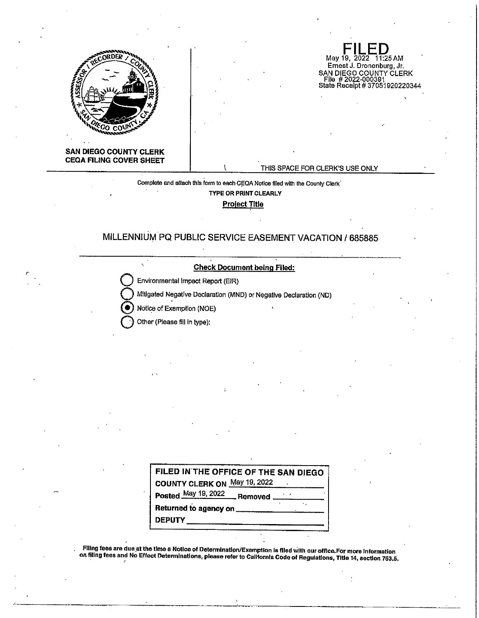

**FILED**<br>May 19, 2022 11:25 AM Ernest J. Dronenburg, Jr. SAN DIEGO COUNTY CLERK File # 2022-000391 State Receipt# 37051920220344

**SAN DIEGO COUNTY CLERK CEQA FILING COVER SHEET** 

*r* 

## THIS SPACE FOR CLERK'S USE ONLY

Complete and attach this form to each CEQA Notice filed with the County Clerk<sup>\*</sup> **TYPE OR PRINT CLEARLY Project Title** 

# **MILLENNIUM PQ PUBLIC SERVICE EASEMENT VACATION/ 685885**

**Check Document being Filed:** 

**Environmental Impact Report (EIR)** 

**Q** Mitigated Negative Declaration (MND) or Negative Declaration (ND)

@ Notice of E~empllon (NOE)

**Q** Other (Please fill In type):

 $\overline{\phantom{0}}$ 

| FILED IN THE OFFICE OF THE SAN DIEGO |  |
|--------------------------------------|--|
| COUNTY CLERK ON May 19, 2022         |  |
| Posted May 19, 2022 Removed          |  |
|                                      |  |
| DEPUTY __________________            |  |

Filing fees are due.at the time a Notice of Determlnatlpn/Exemption Is flled With our office.For more Information on filing fees and No Effect Determinations, please refer to Callfornla Code of Regulatlons, Title 14, section 753.5. . '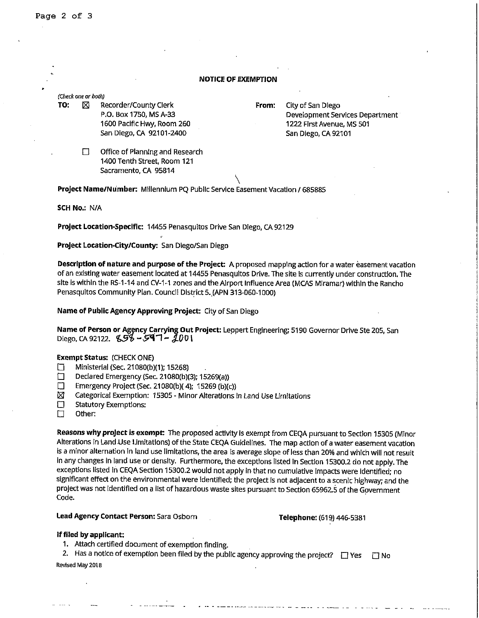### **NOTICE OF EXEMPTION**

(Check one or both)

**TO:**  $\boxtimes$  Recorder/County Clerk

P.O. Box 1750, MS A-33 1600 Pacific Hwy, Room 260 San Diego, CA 92101-2400

**From:** City of San Diego Development Services Department 1222 First Avenue, MS 501 San Diego, CA 92101

 $\Box$  Office of Planning and Research 1400 Tenth Street, Room 121 Sacramento, CA 95814

 $\setminus$ **Project Name/Number:** Millennium PQ Public Service Easement Vacation/ 685885

**SCH No.:** N/A

**Project Location-Specific:** 14455 Penasquitos Drive San Diego, CA 92129

**Project Location-City/County:** San Diego/San Diego

**Description of nature and purpose of the Project:** A proposed mapping action for a water easement vacation of an existing water easement located at 14455 Penasqultos Drive. The site Is currently under construction. The site is within the RS-1-14 and CV-1-1 zones and the Airport Influence Area (MCAS Miramar) within the Rancho Penasqultos Community Plan. Council District 5.\_(APN 313-060-1000)

**Name of Public Agency Approving Project:** City of San Diego

Name of Person or Agency Carrying Out Project: Leppert Engineering; 5190 Governor Drive Ste 205, San Diego, CA 92122. **858 - 597 - 2001** 

#### **Exempt Status:** (CHECK ONE)

- D Ministerial (Sec. 21080(b)(1); 15268)
- □ Declared Emergency (Sec. 21080(b)(3); 15269(a))<br>□ Emergency Project (Sec. 21080(b)( 4): 15269 (b)(c
- $\square$  Emergency Project (Sec. 21080(b)( 4); 15269 (b)(c))<br> $\square$  Categorical Exemption: 15305 Minor Alterations i
- Categorical Exemption: 15305 Minor Alterations in Land Use Limitations
- D Statutory Exemptions:
- D Other:

**Reasons why project is exempt:** The proposed activity Is exempt from CEQA pursuant to Section 15305 (Minor Alterations in Land Use Limitations) of the State CEQA Guidelines. The map action of a water easement vacation is a minor alternation In land use limitations, the area is average slope of less than 20% and which will not result in any changes in land use or density. Furthermore, the exceptions listed In Section 15300.2 do not apply. The exceptions listed In CEQA Section 15300.2 would not apply In that no cumulative Impacts were Identified; no significant effect on the environmental were Identified; the project Is not adjacent to a scenic highway; and the project was not Identified on a list of hazardous waste sites pursuant to Section 65962.5 of the Government Code.

### Lead Agency Contact Person: Sara Osborn **Telephone:** (619) 446-5381

### **If filed by applicant:**

1. Attach certified document of exemption finding.

2. Has a notice of exemption been filed by the public agency approving the project?  $\Box$  Yes  $\Box$  No Revised May 2018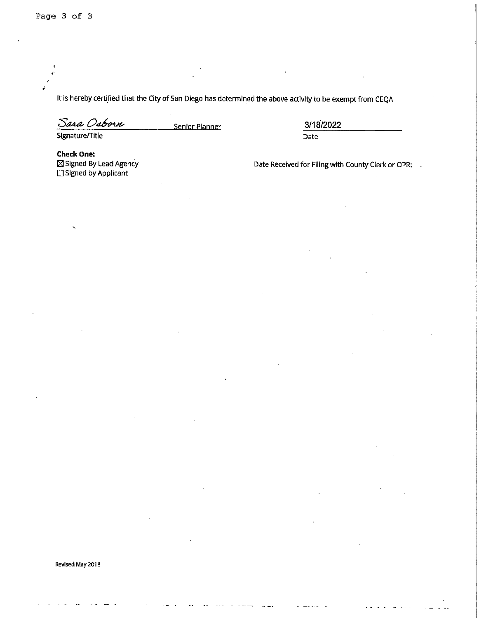It is hereby certified that the City of San Diego has determined the above activity to be exempt from CEQA

Sara Osborn

Signature/Title

**Senior Planner 3/18/2022**  Date

**Check One:**  lZI Signed By lead Agency  $\square$  Signed by Applicant

Date Received for Filing with County Clerk or OPR: .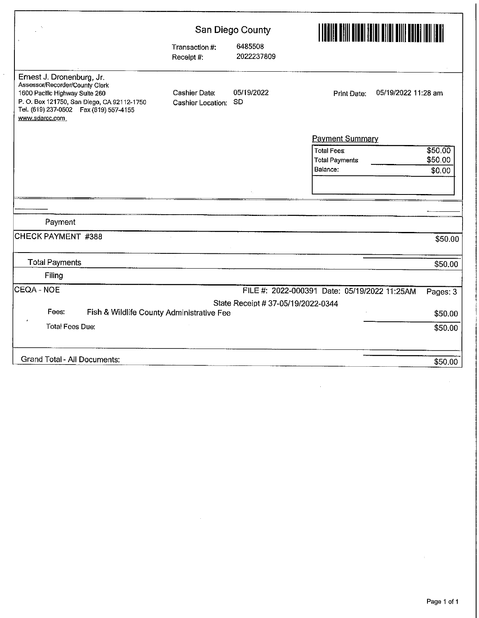| $\Delta$                                                                                                                                                                                                   | San Diego County                   |                                    |                                              |          |  |
|------------------------------------------------------------------------------------------------------------------------------------------------------------------------------------------------------------|------------------------------------|------------------------------------|----------------------------------------------|----------|--|
|                                                                                                                                                                                                            | Transaction #:<br>Receipt #:       | 6485508<br>2022237809              |                                              |          |  |
| Ernest J. Dronenburg, Jr.<br>Assessor/Recorder/County Clerk<br>1600 Pacific Highway Suite 260<br>P. O. Box 121750, San Diego, CA 92112-1750<br>Tel. (619) 237-0502    Fax (619) 557-4155<br>www.sdarcc.com | Cashier Date:<br>Cashier Location: | 05/19/2022<br><b>SD</b>            | 05/19/2022 11:28 am<br>Print Date:           |          |  |
|                                                                                                                                                                                                            |                                    |                                    | <b>Payment Summary</b>                       |          |  |
|                                                                                                                                                                                                            |                                    |                                    | <b>Total Fees:</b>                           | \$50.00  |  |
|                                                                                                                                                                                                            |                                    |                                    | <b>Total Payments</b>                        | \$50.00  |  |
|                                                                                                                                                                                                            |                                    |                                    | Balance:                                     | \$0.00   |  |
|                                                                                                                                                                                                            |                                    |                                    |                                              |          |  |
|                                                                                                                                                                                                            |                                    |                                    |                                              |          |  |
| Payment                                                                                                                                                                                                    |                                    |                                    |                                              |          |  |
| CHECK PAYMENT #388                                                                                                                                                                                         |                                    |                                    |                                              | \$50.00  |  |
| <b>Total Payments</b>                                                                                                                                                                                      |                                    |                                    |                                              | \$50.00  |  |
| Filing                                                                                                                                                                                                     |                                    |                                    |                                              |          |  |
| CEQA - NOE                                                                                                                                                                                                 |                                    |                                    | FILE #: 2022-000391 Date: 05/19/2022 11:25AM | Pages: 3 |  |
|                                                                                                                                                                                                            |                                    | State Receipt # 37-05/19/2022-0344 |                                              |          |  |
| Fees:<br>Fish & Wildlife County Administrative Fee                                                                                                                                                         |                                    |                                    |                                              | \$50.00  |  |
| <b>Total Fees Due:</b>                                                                                                                                                                                     |                                    |                                    |                                              | \$50.00  |  |
| <b>Grand Total - All Documents:</b>                                                                                                                                                                        |                                    |                                    |                                              | \$50.00  |  |

 $\hat{\mathcal{L}}$ 

 $\hat{\boldsymbol{\beta}}$